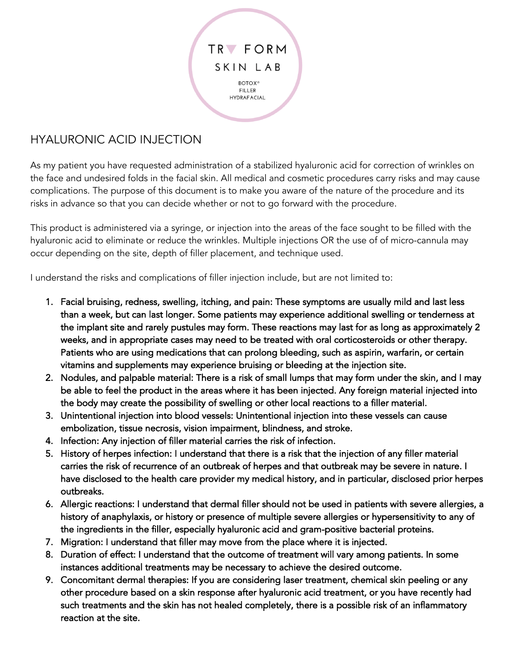

## HYALURONIC ACID INJECTION

As my patient you have requested administration of a stabilized hyaluronic acid for correction of wrinkles on the face and undesired folds in the facial skin. All medical and cosmetic procedures carry risks and may cause complications. The purpose of this document is to make you aware of the nature of the procedure and its risks in advance so that you can decide whether or not to go forward with the procedure.

This product is administered via a syringe, or injection into the areas of the face sought to be filled with the hyaluronic acid to eliminate or reduce the wrinkles. Multiple injections OR the use of of micro-cannula may occur depending on the site, depth of filler placement, and technique used.

I understand the risks and complications of filler injection include, but are not limited to:

- 1. Facial bruising, redness, swelling, itching, and pain: These symptoms are usually mild and last less than a week, but can last longer. Some patients may experience additional swelling or tenderness at the implant site and rarely pustules may form. These reactions may last for as long as approximately 2 weeks, and in appropriate cases may need to be treated with oral corticosteroids or other therapy. Patients who are using medications that can prolong bleeding, such as aspirin, warfarin, or certain vitamins and supplements may experience bruising or bleeding at the injection site.
- 2. Nodules, and palpable material: There is a risk of small lumps that may form under the skin, and I may be able to feel the product in the areas where it has been injected. Any foreign material injected into the body may create the possibility of swelling or other local reactions to a filler material.
- 3. Unintentional injection into blood vessels: Unintentional injection into these vessels can cause embolization, tissue necrosis, vision impairment, blindness, and stroke.
- 4. Infection: Any injection of filler material carries the risk of infection.
- 5. History of herpes infection: I understand that there is a risk that the injection of any filler material carries the risk of recurrence of an outbreak of herpes and that outbreak may be severe in nature. I have disclosed to the health care provider my medical history, and in particular, disclosed prior herpes outbreaks.
- 6. Allergic reactions: I understand that dermal filler should not be used in patients with severe allergies, a history of anaphylaxis, or history or presence of multiple severe allergies or hypersensitivity to any of the ingredients in the filler, especially hyaluronic acid and gram-positive bacterial proteins.
- 7. Migration: I understand that filler may move from the place where it is injected.
- 8. Duration of effect: I understand that the outcome of treatment will vary among patients. In some instances additional treatments may be necessary to achieve the desired outcome.
- 9. Concomitant dermal therapies: If you are considering laser treatment, chemical skin peeling or any other procedure based on a skin response after hyaluronic acid treatment, or you have recently had such treatments and the skin has not healed completely, there is a possible risk of an inflammatory reaction at the site.